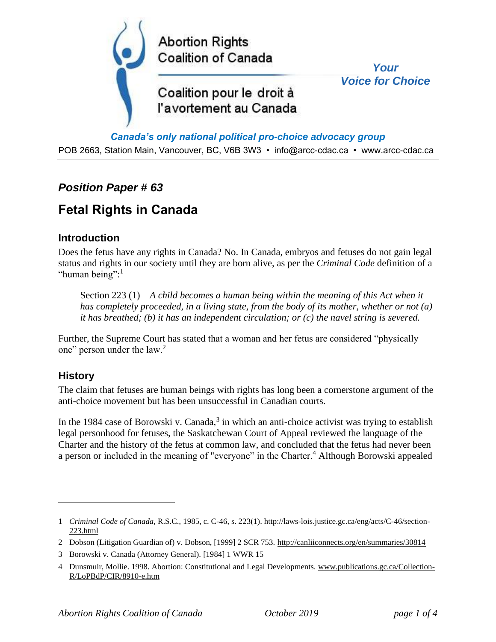

#### *Canada's only national political pro-choice advocacy group*

POB 2663, Station Main, Vancouver, BC, V6B 3W3 • info@arcc-cdac.ca • www.arcc-cdac.ca

## *Position Paper # 63*

# **Fetal Rights in Canada**

### **Introduction**

Does the fetus have any rights in Canada? No. In Canada, embryos and fetuses do not gain legal status and rights in our society until they are born alive, as per the *Criminal Code* definition of a "human being":<sup>1</sup>

Section 223 (1) – *A child becomes a human being within the meaning of this Act when it has completely proceeded, in a living state, from the body of its mother, whether or not (a) it has breathed; (b) it has an independent circulation; or (c) the navel string is severed.*

Further, the Supreme Court has stated that a woman and her fetus are considered "physically one" person under the law.<sup>2</sup>

#### **History**

The claim that fetuses are human beings with rights has long been a cornerstone argument of the anti-choice movement but has been unsuccessful in Canadian courts.

In the 1984 case of Borowski v. Canada, $3$  in which an anti-choice activist was trying to establish legal personhood for fetuses, the Saskatchewan Court of Appeal reviewed the language of the Charter and the history of the fetus at common law, and concluded that the fetus had never been a person or included in the meaning of "everyone" in the Charter.<sup>4</sup> Although Borowski appealed

<sup>1</sup> *Criminal Code of Canada,* R.S.C., 1985, c. C-46, s. 223(1). [http://laws-lois.justice.gc.ca/eng/acts/C-46/section-](http://laws-lois.justice.gc.ca/eng/acts/C-46/section-223.html)[223.html](http://laws-lois.justice.gc.ca/eng/acts/C-46/section-223.html)

<sup>2</sup> Dobson (Litigation Guardian of) v. Dobson, [1999] 2 SCR 753.<http://canliiconnects.org/en/summaries/30814>

<sup>3</sup> Borowski v. Canada (Attorney General)[. \[1984\] 1 WWR 15](https://www.canlii.org/en/sk/skqb/doc/1983/1983canlii2157/1983canlii2157.html?autocompleteStr=%5B1984%5D%201%20W.W.R.%2015&autocompletePos=1)

<sup>4</sup> Dunsmuir, Mollie. 1998. Abortion: Constitutional and Legal Developments[. www.publications.gc.ca/Collection-](http://www.publications.gc.ca/Collection-R/LoPBdP/CIR/8910-e.htm)[R/LoPBdP/CIR/8910-e.htm](http://www.publications.gc.ca/Collection-R/LoPBdP/CIR/8910-e.htm)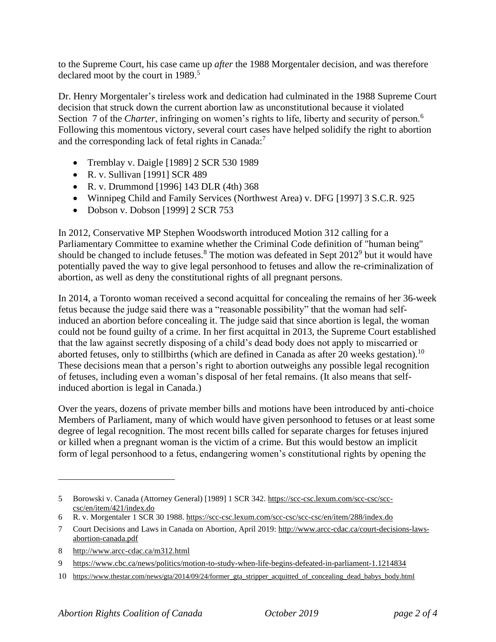to the Supreme Court, his case came up *after* the 1988 Morgentaler decision, and was therefore declared moot by the court in 1989.<sup>5</sup>

Dr. Henry Morgentaler's tireless work and dedication had culminated in the 1988 Supreme Court decision that struck down the current abortion law as unconstitutional because it violated Section 7 of the *Charter*, infringing on women's rights to life, liberty and security of person.<sup>6</sup> Following this momentous victory, several court cases have helped solidify the right to abortion and the corresponding lack of fetal rights in Canada:<sup>7</sup>

- Tremblay v. Daigle [1989] 2 SCR 530 1989
- R. v. Sullivan [1991] SCR 489
- R. v. Drummond [1996] 143 DLR (4th) 368
- Winnipeg Child and Family Services (Northwest Area) v. DFG [1997] 3 S.C.R. 925
- Dobson v. Dobson [1999] 2 SCR 753

In 2012, Conservative MP Stephen Woodsworth introduced Motion 312 calling for a Parliamentary Committee to examine whether the Criminal Code definition of "human being" should be changed to include fetuses.<sup>8</sup> The motion was defeated in Sept  $2012^9$  but it would have potentially paved the way to give legal personhood to fetuses and allow the re-criminalization of abortion, as well as deny the constitutional rights of all pregnant persons.

In 2014, a Toronto woman received a second acquittal for concealing the remains of her 36-week fetus because the judge said there was a "reasonable possibility" that the woman had selfinduced an abortion before concealing it. The judge said that since abortion is legal, the woman could not be found guilty of a crime. In her first acquittal in 2013, the Supreme Court established that the law against secretly disposing of a child's dead body does not apply to miscarried or aborted fetuses, only to stillbirths (which are defined in Canada as after 20 weeks gestation).<sup>10</sup> These decisions mean that a person's right to abortion outweighs any possible legal recognition of fetuses, including even a woman's disposal of her fetal remains. (It also means that selfinduced abortion is legal in Canada.)

Over the years, dozens of private member bills and motions have been introduced by anti-choice Members of Parliament, many of which would have given personhood to fetuses or at least some degree of legal recognition. The most recent bills called for separate charges for fetuses injured or killed when a pregnant woman is the victim of a crime. But this would bestow an implicit form of legal personhood to a fetus, endangering women's constitutional rights by opening the

10 [https://www.thestar.com/news/gta/2014/09/24/former\\_gta\\_stripper\\_acquitted\\_of\\_concealing\\_dead\\_babys\\_body.html](https://www.thestar.com/news/gta/2014/09/24/former_gta_stripper_acquitted_of_concealing_dead_babys_body.html)

<sup>5</sup> Borowski v. Canada (Attorney General) [1989] 1 SCR 342. [https://scc-csc.lexum.com/scc-csc/scc](https://scc-csc.lexum.com/scc-csc/scc-csc/en/item/421/index.do)[csc/en/item/421/index.do](https://scc-csc.lexum.com/scc-csc/scc-csc/en/item/421/index.do)

<sup>6</sup> R. v. Morgentale[r 1 SCR 30 1988.](https://www.canlii.org/en/ca/scc/doc/1988/1988canlii90/1988canlii90.html?autocompleteStr=1%20SCR%2030%201988&autocompletePos=1)<https://scc-csc.lexum.com/scc-csc/scc-csc/en/item/288/index.do>

<sup>7</sup> Court Decisions and Laws in Canada on Abortion, April 2019[: http://www.arcc-cdac.ca/court-decisions-laws](http://www.arcc-cdac.ca/court-decisions-laws-abortion-canada.pdf)[abortion-canada.pdf](http://www.arcc-cdac.ca/court-decisions-laws-abortion-canada.pdf)

<sup>8</sup> <http://www.arcc-cdac.ca/m312.html>

<sup>9</sup> <https://www.cbc.ca/news/politics/motion-to-study-when-life-begins-defeated-in-parliament-1.1214834>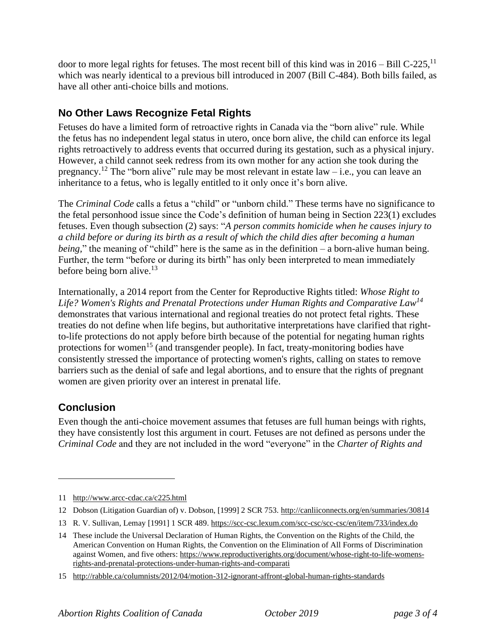door to more legal rights for fetuses. The most recent bill of this kind was in  $2016 - 1011C - 225$ ,  $11$ which was nearly identical to a previous bill introduced in 2007 (Bill C-484). Both bills failed, as have all other anti-choice bills and motions.

## **No Other Laws Recognize Fetal Rights**

Fetuses do have a limited form of retroactive rights in Canada via the "born alive" rule. While the fetus has no independent legal status in utero, once born alive, the child can enforce its legal rights retroactively to address events that occurred during its gestation, such as a physical injury. However, a child cannot seek redress from its own mother for any action she took during the pregnancy.<sup>12</sup> The "born alive" rule may be most relevant in estate law – i.e., you can leave an inheritance to a fetus, who is legally entitled to it only once it's born alive.

The *Criminal Code* calls a fetus a "child" or "unborn child." These terms have no significance to the fetal personhood issue since the Code's definition of human being in Section 223(1) excludes fetuses. Even though subsection (2) says: "*A person commits homicide when he causes injury to a child before or during its birth as a result of which the child dies after becoming a human being,*" the meaning of "child" here is the same as in the definition – a born-alive human being. Further, the term "before or during its birth" has only been interpreted to mean immediately before being born alive.<sup>13</sup>

Internationally, a 2014 report from the Center for Reproductive Rights titled: *Whose Right to Life? Women's Rights and Prenatal Protections under Human Rights and Comparative Law<sup>14</sup>* demonstrates that various international and regional treaties do not protect fetal rights. These treaties do not define when life begins, but authoritative interpretations have clarified that rightto-life protections do not apply before birth because of the potential for negating human rights protections for women<sup>15</sup> (and transgender people). In fact, treaty-monitoring bodies have consistently stressed the importance of protecting women's rights, calling on states to remove barriers such as the denial of safe and legal abortions, and to ensure that the rights of pregnant women are given priority over an interest in prenatal life.

## **Conclusion**

Even though the anti-choice movement assumes that fetuses are full human beings with rights, they have consistently lost this argument in court. Fetuses are not defined as persons under the *Criminal Code* and they are not included in the word "everyone" in the *Charter of Rights and* 

<sup>11</sup> <http://www.arcc-cdac.ca/c225.html>

<sup>12</sup> Dobson (Litigation Guardian of) v. Dobson, [1999] 2 SCR 753.<http://canliiconnects.org/en/summaries/30814>

<sup>13</sup> R. V. Sullivan, Lemay [1991] 1 SCR 489[. https://scc-csc.lexum.com/scc-csc/scc-csc/en/item/733/index.do](https://scc-csc.lexum.com/scc-csc/scc-csc/en/item/733/index.do)

<sup>14</sup> These include the Universal Declaration of Human Rights, the Convention on the Rights of the Child, the American Convention on Human Rights, the Convention on the Elimination of All Forms of Discrimination against Women, and five others: [https://www.reproductiverights.org/document/whose-right-to-life-womens](https://www.reproductiverights.org/document/whose-right-to-life-womens-rights-and-prenatal-protections-under-human-rights-and-comparati)[rights-and-prenatal-protections-under-human-rights-and-comparati](https://www.reproductiverights.org/document/whose-right-to-life-womens-rights-and-prenatal-protections-under-human-rights-and-comparati)

<sup>15</sup> <http://rabble.ca/columnists/2012/04/motion-312-ignorant-affront-global-human-rights-standards>